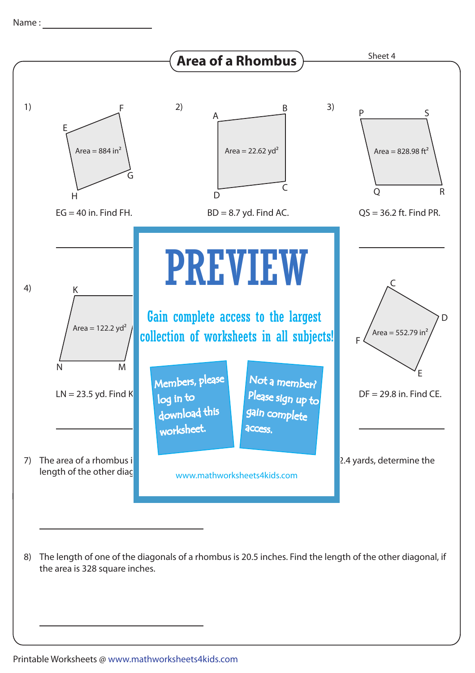